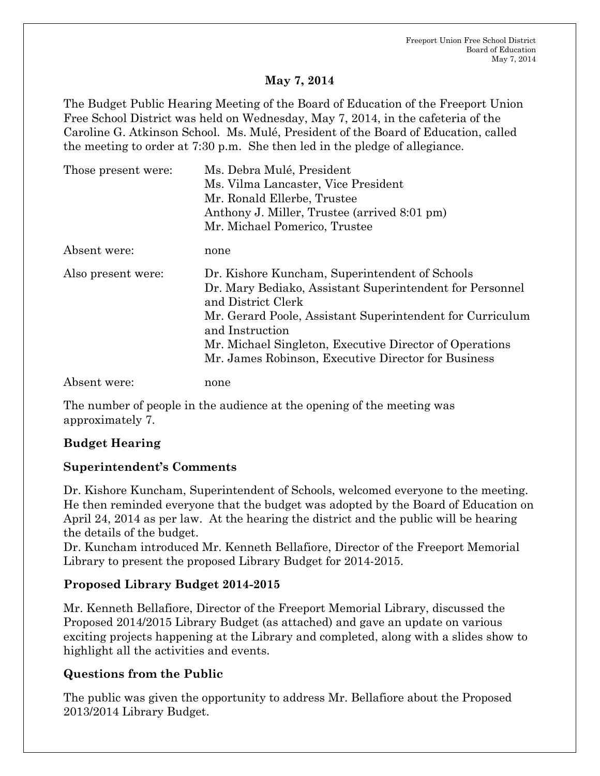#### **May 7, 2014**

The Budget Public Hearing Meeting of the Board of Education of the Freeport Union Free School District was held on Wednesday, May 7, 2014, in the cafeteria of the Caroline G. Atkinson School. Ms. Mulé, President of the Board of Education, called the meeting to order at 7:30 p.m. She then led in the pledge of allegiance.

| Those present were: | Ms. Debra Mulé, President                                                                                                        |
|---------------------|----------------------------------------------------------------------------------------------------------------------------------|
|                     | Ms. Vilma Lancaster, Vice President                                                                                              |
|                     | Mr. Ronald Ellerbe, Trustee                                                                                                      |
|                     | Anthony J. Miller, Trustee (arrived 8:01 pm)                                                                                     |
|                     | Mr. Michael Pomerico, Trustee                                                                                                    |
| Absent were:        | none                                                                                                                             |
| Also present were:  | Dr. Kishore Kuncham, Superintendent of Schools<br>Dr. Mary Bediako, Assistant Superintendent for Personnel<br>and District Clerk |
|                     | Mr. Gerard Poole, Assistant Superintendent for Curriculum<br>and Instruction                                                     |
|                     | Mr. Michael Singleton, Executive Director of Operations                                                                          |
|                     | Mr. James Robinson, Executive Director for Business                                                                              |
| Absent were:        | none                                                                                                                             |

The number of people in the audience at the opening of the meeting was approximately 7.

## **Budget Hearing**

#### **Superintendent's Comments**

Dr. Kishore Kuncham, Superintendent of Schools, welcomed everyone to the meeting. He then reminded everyone that the budget was adopted by the Board of Education on April 24, 2014 as per law. At the hearing the district and the public will be hearing the details of the budget.

Dr. Kuncham introduced Mr. Kenneth Bellafiore, Director of the Freeport Memorial Library to present the proposed Library Budget for 2014-2015.

## **Proposed Library Budget 2014-2015**

Mr. Kenneth Bellafiore, Director of the Freeport Memorial Library, discussed the Proposed 2014/2015 Library Budget (as attached) and gave an update on various exciting projects happening at the Library and completed, along with a slides show to highlight all the activities and events.

## **Questions from the Public**

The public was given the opportunity to address Mr. Bellafiore about the Proposed 2013/2014 Library Budget.